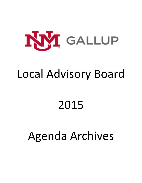

## Local Advisory Board

# 2015

## Agenda Archives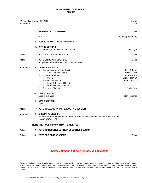| Six O'clock | Wednesday, January 21, 2015                                                                                                                                                                                                                                                                                                                                                        | Gallup<br>DCR                                                                                                                            |
|-------------|------------------------------------------------------------------------------------------------------------------------------------------------------------------------------------------------------------------------------------------------------------------------------------------------------------------------------------------------------------------------------------|------------------------------------------------------------------------------------------------------------------------------------------|
|             | <b>I. MEETING CALL TO ORDER</b>                                                                                                                                                                                                                                                                                                                                                    | Chair                                                                                                                                    |
|             | <b>II. ROLL CALL</b>                                                                                                                                                                                                                                                                                                                                                               | <b>Recording Secretary</b>                                                                                                               |
|             | III. PUBLIC INPUT (15 minutes maximum)                                                                                                                                                                                                                                                                                                                                             |                                                                                                                                          |
|             | <b>IV. INTRODUCTIONS</b><br>Ken Roberts, Interim Dean of Instruction                                                                                                                                                                                                                                                                                                               | Chris Dyer                                                                                                                               |
| Action      | <b>V. VOTE TO APPROVE AGENDA</b>                                                                                                                                                                                                                                                                                                                                                   | Chair                                                                                                                                    |
| Action      | <b>VI. VOTE ON BOARD BUSINESS</b><br>Adoption of November 19, 2014 Board Minutes                                                                                                                                                                                                                                                                                                   | Chair                                                                                                                                    |
| Information | <b>VII. CAMPUS REPORTS</b><br>Instruction and Academic Affairs<br>А.<br>i.<br>Zuni Campus Report<br><b>Student Services</b><br>В.<br><b>MCHS</b><br>i.<br>C.<br><b>Business Operations</b><br>Monthly Financial Update<br>i.<br>Monthly Grants Update<br>ii.<br><b>Executive Director</b><br>D.<br><b>VIII. OLD BUSINESS</b><br><b>Local Purchases</b><br>IX. NEW BUSINESS<br>None | <b>Ken Roberts</b><br><b>Bruce Klewer</b><br>Jeannie Baca<br>Wally Feldman<br><b>Rick Goshorn</b><br>Chris Dyer<br><b>Ralph Richards</b> |
| Action      | X. VOTE TO ADJOURN FOR EXECUTIVE SESSION                                                                                                                                                                                                                                                                                                                                           |                                                                                                                                          |
| Information | <b>XI. EXECUTIVE SESSION</b><br>Executive Session pursuant to NM Open Meeting Act; Personnel Matter, Section 10-15-<br>1-H.(2) NMSA 1978.                                                                                                                                                                                                                                          |                                                                                                                                          |
|             | <b>INVITE THE PUBLIC BACK INTO THE MEETING</b>                                                                                                                                                                                                                                                                                                                                     |                                                                                                                                          |
| Action      | XII. VOTE TO RECONVENE FROM EXECUTIVE SESSION                                                                                                                                                                                                                                                                                                                                      |                                                                                                                                          |
| Action      | XIII. VOTE FOR ADJOURNMENT                                                                                                                                                                                                                                                                                                                                                         | Chair                                                                                                                                    |

## *Next Meeting on February 25 at 6:00 pm in Zuni*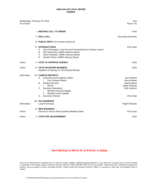| Six O'clock | Wednesday, February 25, 2015                                                                                                                                                                                                                                                                   | Zuni<br><b>Room 141</b>                                                                                         |
|-------------|------------------------------------------------------------------------------------------------------------------------------------------------------------------------------------------------------------------------------------------------------------------------------------------------|-----------------------------------------------------------------------------------------------------------------|
|             | <b>I. MEETING CALL TO ORDER</b>                                                                                                                                                                                                                                                                | Chair                                                                                                           |
|             | <b>II. ROLL CALL</b>                                                                                                                                                                                                                                                                           | <b>Recording Secretary</b>                                                                                      |
|             | III. PUBLIC INPUT (15 minutes maximum)                                                                                                                                                                                                                                                         |                                                                                                                 |
|             | <b>IV. INTRODUCTIONS</b><br>Jerry Dominguez, Vice Provost Emeritus/Branch Campus Liaison<br>А.<br>Olin Kieyoomia, UNMG Advisory Board<br>В.<br>C. Aaron Kowalski, UNMG Advisory Board<br>Gerald O'Hara, UNMG Advisory Board<br>D.                                                              | Chris Dyer                                                                                                      |
| Action      | <b>V. VOTE TO APPROVE AGENDA</b>                                                                                                                                                                                                                                                               | Chair                                                                                                           |
| Action      | <b>VI. VOTE ON BOARD BUSINESS</b><br>Adoption of January 21, 2015 Board Minutes                                                                                                                                                                                                                | Chair                                                                                                           |
| Information | <b>VII. CAMPUS REPORTS</b><br>Instruction and Academic Affairs<br>А.<br>Zuni Campus Report<br>i.<br><b>Student Services</b><br>В.<br><b>MCHS</b><br>Τ.<br><b>Business Operations</b><br>C.<br>Monthly Financial Update<br>i.<br>Monthly Grants Update<br>н.<br><b>Executive Director</b><br>D. | <b>Ken Roberts</b><br><b>Bruce Klewer</b><br>Jeannie Baca<br>Wally Feldman<br><b>Rick Goshorn</b><br>Chris Dyer |
| Information | <b>VIII. OLD BUSINESS</b><br><b>Local Purchases</b>                                                                                                                                                                                                                                            | <b>Ralph Richards</b>                                                                                           |
| Action      | IX. NEW BUSINESS<br>Discuss & Vote on New Quarterly Meeting Dates                                                                                                                                                                                                                              | Chris Dyer                                                                                                      |
| Action      | X. VOTE FOR ADJOURNMENT                                                                                                                                                                                                                                                                        | Chair                                                                                                           |

*Next Meeting on March 25 at 6:00 pm in Gallup*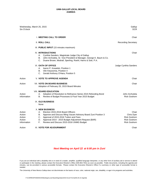| Wednesday, March 25, 2015<br>Six O'clock            |                                                                                                                                                                                                                                                                                                     | Gallup<br><b>DCR</b>                                                                     |
|-----------------------------------------------------|-----------------------------------------------------------------------------------------------------------------------------------------------------------------------------------------------------------------------------------------------------------------------------------------------------|------------------------------------------------------------------------------------------|
|                                                     | <b>I. MEETING CALL TO ORDER</b>                                                                                                                                                                                                                                                                     | Chair                                                                                    |
|                                                     | <b>II. ROLL CALL</b>                                                                                                                                                                                                                                                                                | <b>Recording Secretary</b>                                                               |
|                                                     | III. PUBLIC INPUT (15 minutes maximum)                                                                                                                                                                                                                                                              |                                                                                          |
|                                                     | <b>IV. INTRODUCTIONS</b><br>Cynthia Sanders, Magistrate Judge City of Gallup<br>А.<br>John Archuleta, Sr. Vice President & Manager, George K. Baum & Co.<br>В.<br>Duane Brown, Modrall, Sperling, Roehl, Harris & Sisk, P.A.<br>C.                                                                  | Chair                                                                                    |
|                                                     | <b>VI. OATH OF OFFICE</b><br>Aaron P. Kowalski, Position 1<br>А.<br>Olin Kieyoomia, Position 4<br>В.<br>С.<br>Gerald Anthony O'Hara, Position 5                                                                                                                                                     | Judge Cynthia Sanders                                                                    |
| Action                                              | <b>V. VOTE TO APPROVE AGENDA</b>                                                                                                                                                                                                                                                                    | Chair                                                                                    |
| Action                                              | <b>VII. VOTE ON BOARD BUSINESS</b><br>Adoption of February 25, 2015 Board Minutes                                                                                                                                                                                                                   | Chair                                                                                    |
| Action<br>Information                               | <b>VIII. BOARD EDUCATION</b><br>Adoption of Resolution to Refinance Series 2015 Refunding Bond<br>А.<br>Review of Budget Processes & Fical Year 2015 Budget<br>В.                                                                                                                                   | John Archuleta<br><b>Rick Goshorn</b>                                                    |
|                                                     | IX. OLD BUSINESS<br>None                                                                                                                                                                                                                                                                            |                                                                                          |
| Action<br>Action<br>Action<br>Action<br>Information | <b>X. NEW BUSINESS</b><br>Election 2015-2016 Board Officers<br>А.<br>B. Approve and Discuss filling Vacant Advisory Board Zuni Position 3<br>C. Approval of 2015-2016 Tuition and Fees<br>D. Approval 2014 - 2015 Budget Adjustment Request (BAR)<br>F.<br>Review and Discuss 2015-2016 UNMG Budget | Chair<br>Chris Dyer<br><b>Rick Goshorn</b><br><b>Rick Goshorn</b><br><b>Rick Goshorn</b> |
| Action                                              | <b>XI. VOTE FOR ADJOURNMENT</b>                                                                                                                                                                                                                                                                     | Chair                                                                                    |

### *Next Meeting on April 22 at 6:00 pm in Zuni*

The University of New Mexico Gallup does not discriminate on the basics of race, color, national origin, sex, disability, or age in its programs and activities.

If you are an individual with a disability who is in need of a reader, amplifier, qualified language interpreter, or any other form of auxiliary aid or service to attend or participate in the meeting, please contact the Executive Director's Office (505-863-7501) as soon as possible. Public documents, including the agenda and minutes, can be provided in various accessible formats. Please contact the Executive Director's Office if a summary or other type of accessible format is needed.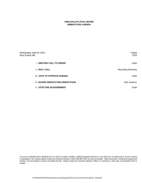### **UNM-GALLUP LOCAL BOARD ORIENTATION AGENDA**

| Wednesday, April 30, 2015<br>Nine O'clock AM | Gallup<br>DCR              |
|----------------------------------------------|----------------------------|
| <b>I. MEETING CALL TO ORDER</b>              | Chair                      |
| <b>II. ROLL CALL</b>                         | <b>Recording Secretary</b> |
| III. VOTE TO APPROVE AGENDA                  | Chair                      |
| <b>IV. BOARD ORIENTATION ORIENTATION</b>     | <b>Rick Goshorn</b>        |
| <b>V. VOTE FOR ADJOURNMENT</b>               | Chair                      |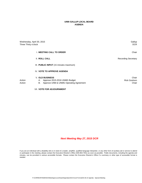| Wednesday, April 30, 2015<br>Three Thirty o'clock                                                                                 | Gallup<br>DCR.                        |
|-----------------------------------------------------------------------------------------------------------------------------------|---------------------------------------|
| <b>I. MEETING CALL TO ORDER</b>                                                                                                   | Chair                                 |
| <b>II. ROLL CALL</b>                                                                                                              | <b>Recording Secretary</b>            |
| III. PUBLIC INPUT (15 minutes maximum)                                                                                            |                                       |
| IV. VOTE TO APPROVE AGENDA                                                                                                        |                                       |
| <b>V. OLD BUSINESS</b><br>Action<br>Approve 2015-2016 UNMG Budget<br>А.<br>Approve UNM & UNMG Operating Agreement<br>Action<br>В. | Chair<br><b>Rick Goshorn</b><br>Chair |
| <b>VII. VOTE FOR ADJOURNMENT</b>                                                                                                  |                                       |

*Next Meeting May 27, 2015 DCR*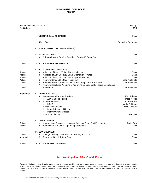| Wednesday, May 27, 2015<br>Six O'clock                                  |                                                                                                                                                                                                                                                                                                                                                                                                                                                                                                                                                                                                                                                                                                                                  | Gallup<br>DCR                                                                                                                                                                             |
|-------------------------------------------------------------------------|----------------------------------------------------------------------------------------------------------------------------------------------------------------------------------------------------------------------------------------------------------------------------------------------------------------------------------------------------------------------------------------------------------------------------------------------------------------------------------------------------------------------------------------------------------------------------------------------------------------------------------------------------------------------------------------------------------------------------------|-------------------------------------------------------------------------------------------------------------------------------------------------------------------------------------------|
|                                                                         | <b>I. MEETING CALL TO ORDER</b>                                                                                                                                                                                                                                                                                                                                                                                                                                                                                                                                                                                                                                                                                                  | Chair                                                                                                                                                                                     |
|                                                                         | II. ROLL CALL                                                                                                                                                                                                                                                                                                                                                                                                                                                                                                                                                                                                                                                                                                                    | <b>Recording Secretary</b>                                                                                                                                                                |
|                                                                         | III. PUBLIC INPUT (15 minutes maximum)                                                                                                                                                                                                                                                                                                                                                                                                                                                                                                                                                                                                                                                                                           |                                                                                                                                                                                           |
|                                                                         | <b>IV. INTRODUCTIONS</b><br>John Archuletta, Sr. Vice President, George K. Baum Co.<br>А.                                                                                                                                                                                                                                                                                                                                                                                                                                                                                                                                                                                                                                        | Chair                                                                                                                                                                                     |
| Action                                                                  | <b>V. VOTE TO APPROVE AGENDA</b>                                                                                                                                                                                                                                                                                                                                                                                                                                                                                                                                                                                                                                                                                                 | Chair                                                                                                                                                                                     |
| Action<br>Action<br>Action<br>Action<br>Action<br>Action<br>Information | <b>VI. VOTE ON BOARD BUSINESS</b><br>Adoption of March 25, 2015 Board Minutes<br>А.<br>Adoption of April 30, 2015 Board Orientation Minutes<br>В.<br>C. Adoption of April 30, 2015 Board Special Minutes<br>D. Approve Series 2015 Sale Resolution<br>Approve Resolution Post-Issuance Tax Compliance Procedures<br>Е.<br>Approve Resolution Adopting & Approving Continuing Disclosure Compliance<br>F.<br>Procedures<br><b>VII. CAMPUS REPORTS</b><br>Instruction and Academic Affairs<br>А.<br>Zuni Campus Report<br>i.<br><b>Student Services</b><br>В.<br><b>MCHS</b><br>i.<br><b>Business Operations</b><br>C.<br>Monthly Financial Update<br>i.<br><b>Monthly Grants Update</b><br>ii.<br><b>Executive Director</b><br>D. | Chair<br>Chair<br>Chair<br>John Archuleta<br>John Archuleta<br>John Archuleta<br>Ken Roberts<br><b>Bruce Klewer</b><br>Jeannie Baca<br>Wally Feldman<br><b>Rick Goshorn</b><br>Chris Dyer |
|                                                                         | <b>VIII. OLD BUSINESS</b>                                                                                                                                                                                                                                                                                                                                                                                                                                                                                                                                                                                                                                                                                                        |                                                                                                                                                                                           |
| Action<br>Action                                                        | Approve and Discuss filling Vacant Advisory Board Zuni Position 3<br>А.<br>B. Approve UNM & UNMG Operating Agreement                                                                                                                                                                                                                                                                                                                                                                                                                                                                                                                                                                                                             | Chris Dyer<br>Chair                                                                                                                                                                       |
| Action<br>Information                                                   | IX. NEW BUSINESS<br>Change meeting dates to fourth Tuesday at 6:00 pm<br>А.<br>Determine Board Retreat Date<br>В.                                                                                                                                                                                                                                                                                                                                                                                                                                                                                                                                                                                                                | Chair<br>Chair                                                                                                                                                                            |
| Action                                                                  | X. VOTE FOR ADJOURNMENT                                                                                                                                                                                                                                                                                                                                                                                                                                                                                                                                                                                                                                                                                                          | Chair                                                                                                                                                                                     |

### *Next Meeting June 23 in Zuni 6:00 pm*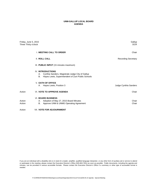| Friday, June 5, 2015<br>Three Thirty o'clock |                                                                                                                                                | Gallup<br><b>DCR</b>       |
|----------------------------------------------|------------------------------------------------------------------------------------------------------------------------------------------------|----------------------------|
|                                              | <b>I. MEETING CALL TO ORDER</b>                                                                                                                | Chair                      |
|                                              | <b>II. ROLL CALL</b>                                                                                                                           | <b>Recording Secretary</b> |
|                                              | III. PUBLIC INPUT (15 minutes maximum)                                                                                                         |                            |
|                                              | <b>IV. INTRODUCTIONS</b><br>Cynthia Sanders, Magistrate Judge City of Gallup<br>А.<br>Hayes Lewis, Superintendent of Zuni Public Schools<br>В. |                            |
|                                              | <b>V. OATH OF OFFICE</b><br>Hayes Lewis, Position 3<br>А.                                                                                      | Judge Cynthia Sanders      |
| Action                                       | VI. VOTE TO APPROVE AGENDA                                                                                                                     | Chair                      |
| Action<br>Action                             | <b>VI. BOARD BUSINESS</b><br>Adoption of May 27, 2015 Board Minutes<br>А.<br>Approve UNM & UNMG Operating Agreement<br>В.                      | Chair<br>Chair             |
| Action                                       | <b>VII. VOTE FOR ADJOURNMENT</b>                                                                                                               |                            |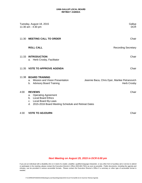### **UNM-GALLUP LOCAL BOARD RETREAT AGENDA**

|      | Tuesday, August 18, 2015<br>11:30 am - 4:30 pm                                                                                                                                             | Gallup<br><b>DCR</b>                                                |
|------|--------------------------------------------------------------------------------------------------------------------------------------------------------------------------------------------|---------------------------------------------------------------------|
|      | 11:30 MEETING CALL TO ORDER                                                                                                                                                                | Chair                                                               |
|      | <b>ROLL CALL</b>                                                                                                                                                                           | <b>Recording Secretary</b>                                          |
|      | 11:33 INTRODUCTION<br>a. Herb Crosby, Facilitator                                                                                                                                          | Chair                                                               |
|      | 11:35 VOTE TO APPROVE AGENDA                                                                                                                                                               | Chair                                                               |
|      | 11:38 BOARD TRAINING<br>Mission and Vision Presentation<br>а.<br><b>Advisory Board Training</b><br>b.                                                                                      | Jeannie Baca, Chris Dyer, Marilee Petranovich<br><b>Herb Crosby</b> |
| 4:00 | <b>REVIEWS</b><br><b>Operating Agreement</b><br>a.<br><b>Local Board Ethics</b><br>$h_{-}$<br><b>Local Board By-Laws</b><br>C.<br>2015-2016 Board Meeting Schedule and Retreat Dates<br>d. | Chair                                                               |
| 4:30 | <b>VOTE TO ADJOURN</b>                                                                                                                                                                     | Chair                                                               |

## *Next Meeting on August 25, 2015 in DCR 6:00 pm*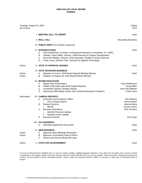| Tuesday, August 25, 2015<br>Six O'clock |                                                                                                                                                                                                                                                                                                                                     | Gallup<br><b>DCR</b>                                                                                            |
|-----------------------------------------|-------------------------------------------------------------------------------------------------------------------------------------------------------------------------------------------------------------------------------------------------------------------------------------------------------------------------------------|-----------------------------------------------------------------------------------------------------------------|
|                                         | I. MEETING CALL TO ORDER                                                                                                                                                                                                                                                                                                            | Chair                                                                                                           |
|                                         | <b>II. ROLL CALL</b>                                                                                                                                                                                                                                                                                                                | Recording Secretary                                                                                             |
|                                         | III. PUBLIC INPUT (15 minutes maximum)                                                                                                                                                                                                                                                                                              |                                                                                                                 |
|                                         | <b>IV. INTRODUCTIONS</b><br>A. Faye Whittemore, Architect, Architectural Research Consultants, Inc. (ARC)<br>Claudia 'Taudy' Miller, Planner, UNM Planning & Campus Development<br>В.<br>C. Irene Den Bleyker, Division Chair Education, Health & Human Services<br>D.<br>Frank Loera, Division Chair Business & Applied Technology | Chair                                                                                                           |
| Action                                  | <b>V. VOTE TO APPROVE AGENDA</b>                                                                                                                                                                                                                                                                                                    | Chair                                                                                                           |
| Action<br>Action                        | <b>VI. VOTE ON BOARD BUSINESS</b><br>А.<br>Adoption of June 5, 2015 Board Special Meeting Minutes<br>В.<br>Adoption of August 18, 2015 Board Retreat Minutes                                                                                                                                                                        | Chair                                                                                                           |
|                                         | <b>VII. BOARD EDUCATION</b><br><b>Master Plan Presentation</b><br>А.<br>В.<br>UNMG 2016 State wide GOB Capital Request<br>C. Vocational Classes Facilities Report<br>D.<br>Improving UNM-Gallup Career and Technical Education Programs                                                                                             | Faye Whittemore<br><b>Taudy Miller</b><br>Irene Den Bleyker<br>Frank Loera                                      |
| Information                             | <b>VII. CAMPUS REPORTS</b><br>Α.<br>Instruction and Academic Affairs<br>Zuni Campus Report<br>i.<br>В.<br><b>Student Services</b><br><b>MCHS</b><br>i.<br><b>Business Operations</b><br>C.<br>i.<br><b>Monthly Financial Update</b><br><b>Monthly Grants Update</b><br>ii.<br>D.<br><b>Executive Director</b>                       | Ken Roberts<br><b>Bruce Klewer</b><br>Jeannie Baca<br><b>Connie Torres</b><br><b>Rick Goshorn</b><br>Chris Dyer |
|                                         | <b>VIII. OLD BUSINESS</b><br><b>Operating Agreement Discussion</b><br>А.                                                                                                                                                                                                                                                            | Chair                                                                                                           |
| Action<br>Action                        | IX. NEW BUSINESS<br>Approval Open Meetings Resolution<br>А.<br>B.<br>Approval Local Board Code of Ethics<br>C.<br>Review and Discuss Board By-Laws                                                                                                                                                                                  | Chair                                                                                                           |
| Action                                  | X. VOTE FOR ADJOURNMENT                                                                                                                                                                                                                                                                                                             | Chair                                                                                                           |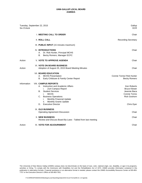| Six O'clock | Tuesday, September 22, 2015                                                                                                                                                                                                                                                                            | Gallup<br><b>DCR</b>                                                                                            |
|-------------|--------------------------------------------------------------------------------------------------------------------------------------------------------------------------------------------------------------------------------------------------------------------------------------------------------|-----------------------------------------------------------------------------------------------------------------|
|             | I. MEETING CALL TO ORDER                                                                                                                                                                                                                                                                               | Chair                                                                                                           |
|             | <b>II. ROLL CALL</b>                                                                                                                                                                                                                                                                                   | <b>Recording Secretary</b>                                                                                      |
|             | III. PUBLIC INPUT (15 minutes maximum)                                                                                                                                                                                                                                                                 |                                                                                                                 |
|             | <b>IV. INTRODUCTIONS</b><br>Dr. Rob Hunter, Principal MCHS<br>А.<br>Becky Romero, Manager ECFC<br>В.                                                                                                                                                                                                   | Chair                                                                                                           |
| Action      | <b>V. VOTE TO APPROVE AGENDA</b>                                                                                                                                                                                                                                                                       | Chair                                                                                                           |
| Action      | <b>VI. VOTE ON BOARD BUSINESS</b><br>Adoption of August 25, 2015 Board Meeting Minutes                                                                                                                                                                                                                 | Chair                                                                                                           |
|             | <b>VII. BOARD EDUCATION</b><br>A.<br><b>MCHS Presentation</b><br>В.<br>Early Childcare & Family Center Report                                                                                                                                                                                          | Connie Torres/ Rob Hunter<br><b>Becky Romero</b>                                                                |
| Information | <b>VIII. CAMPUS REPORTS</b><br>Instruction and Academic Affairs<br>А.<br>i.<br>Zuni Campus Report<br><b>Student Services</b><br>В.<br><b>MCHS</b><br>i.<br>C.<br><b>Business Operations</b><br>Monthly Financial Update<br>Ι.<br><b>Monthly Grants Update</b><br>н.<br><b>Executive Director</b><br>D. | Ken Roberts<br><b>Bruce Klewer</b><br>Jeannie Baca<br><b>Connie Torres</b><br><b>Rick Goshorn</b><br>Chris Dyer |
|             | IX. OLD BUSINESS<br><b>Operating Agreement Discussion</b>                                                                                                                                                                                                                                              | Chair                                                                                                           |
|             | <b>X. NEW BUSINESS</b><br>Review and Discuss Board By-Laws - Tabled from last meeting                                                                                                                                                                                                                  | Chair                                                                                                           |
| Action      | XI. VOTE FOR ADJOURNMENT                                                                                                                                                                                                                                                                               | Chair                                                                                                           |

The University of New Mexico Gallup (UNMG) campus does not discriminate on the basis of race, color, national origin, sex, disability, or age in its programs, activities or hiring. To comply with the Americans with Disabilities Act and the Rehabilitation Act of 1973, UNMG provides information contained in this publication in alternative formats. If special assistance or an alternative format is needed, please contact the UNMG Accessibility Resource Center at 505-863- 7757 or the Executive Director's Office at 505-863-7501.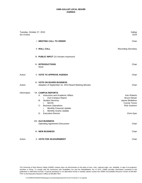| Tuesday, October 27, 2015<br>Six O'clock |                                                                                                                                                                                                                                                                                                 | Gallup<br><b>DCR</b>                                                                                             |  |
|------------------------------------------|-------------------------------------------------------------------------------------------------------------------------------------------------------------------------------------------------------------------------------------------------------------------------------------------------|------------------------------------------------------------------------------------------------------------------|--|
|                                          | I. MEETING CALL TO ORDER                                                                                                                                                                                                                                                                        | Chair                                                                                                            |  |
|                                          | <b>II. ROLL CALL</b>                                                                                                                                                                                                                                                                            | <b>Recording Secretary</b>                                                                                       |  |
|                                          | III. PUBLIC INPUT (15 minutes maximum)                                                                                                                                                                                                                                                          |                                                                                                                  |  |
|                                          | <b>IV. INTRODUCTIONS</b><br>None                                                                                                                                                                                                                                                                | Chair                                                                                                            |  |
| Action                                   | <b>V. VOTE TO APPROVE AGENDA</b>                                                                                                                                                                                                                                                                | Chair                                                                                                            |  |
| Action                                   | <b>VI. VOTE ON BOARD BUSINESS</b><br>Adoption of September 22, 2015 Board Meeting Minutes                                                                                                                                                                                                       | Chair                                                                                                            |  |
| Information                              | <b>VII. CAMPUS REPORTS</b><br>Instruction and Academic Affairs<br>А.<br>Zuni Campus Report<br>i.<br>В.<br><b>Student Services</b><br><b>MCHS</b><br>i.<br><b>Business Operations</b><br>C.<br>Monthly Financial Update<br>i.<br>ii.<br>Monthly Grants Update<br><b>Executive Director</b><br>D. | Ken Roberts<br><b>Bruce Klewer</b><br>Jayme McMahon<br><b>Connie Torres</b><br><b>Rick Goshorn</b><br>Chris Dyer |  |
|                                          | <b>VIII. OLD BUSINESS</b><br><b>Operating Agreement Discussion</b>                                                                                                                                                                                                                              | Chair                                                                                                            |  |
|                                          | IX. NEW BUSINESS                                                                                                                                                                                                                                                                                | Chair                                                                                                            |  |
| Action                                   | X. VOTE FOR ADJOURNMENT                                                                                                                                                                                                                                                                         | Chair                                                                                                            |  |

The University of New Mexico Gallup (UNMG) campus does not discriminate on the basis of race, color, national origin, sex, disability, or age in its programs, activities or hiring. To comply with the Americans with Disabilities Act and the Rehabilitation Act of 1973, UNMG provides information contained in this publication in alternative formats. If special assistance or an alternative format is needed, please contact the UNMG Accessibility Resource Center at 505-863- 7757 or the Executive Director's Office at 505-863-7501.